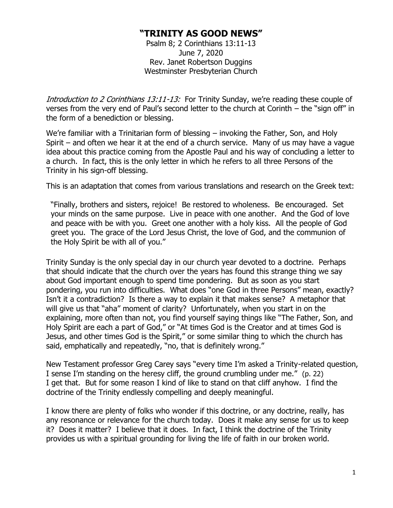## **"TRINITY AS GOOD NEWS"**

Psalm 8; 2 Corinthians 13:11-13 June 7, 2020 Rev. Janet Robertson Duggins Westminster Presbyterian Church

Introduction to 2 Corinthians 13:11-13: For Trinity Sunday, we're reading these couple of verses from the very end of Paul's second letter to the church at Corinth – the "sign off" in the form of a benediction or blessing.

We're familiar with a Trinitarian form of blessing – invoking the Father, Son, and Holy Spirit – and often we hear it at the end of a church service. Many of us may have a vague idea about this practice coming from the Apostle Paul and his way of concluding a letter to a church. In fact, this is the only letter in which he refers to all three Persons of the Trinity in his sign-off blessing.

This is an adaptation that comes from various translations and research on the Greek text:

"Finally, brothers and sisters, rejoice! Be restored to wholeness. Be encouraged. Set your minds on the same purpose. Live in peace with one another. And the God of love and peace with be with you. Greet one another with a holy kiss. All the people of God greet you. The grace of the Lord Jesus Christ, the love of God, and the communion of the Holy Spirit be with all of you."

Trinity Sunday is the only special day in our church year devoted to a doctrine. Perhaps that should indicate that the church over the years has found this strange thing we say about God important enough to spend time pondering. But as soon as you start pondering, you run into difficulties. What does "one God in three Persons" mean, exactly? Isn't it a contradiction? Is there a way to explain it that makes sense? A metaphor that will give us that "aha" moment of clarity? Unfortunately, when you start in on the explaining, more often than not, you find yourself saying things like "The Father, Son, and Holy Spirit are each a part of God," or "At times God is the Creator and at times God is Jesus, and other times God is the Spirit," or some similar thing to which the church has said, emphatically and repeatedly, "no, that is definitely wrong."

New Testament professor Greg Carey says "every time I'm asked a Trinity-related question, I sense I'm standing on the heresy cliff, the ground crumbling under me." (p. 22) I get that. But for some reason I kind of like to stand on that cliff anyhow. I find the doctrine of the Trinity endlessly compelling and deeply meaningful.

I know there are plenty of folks who wonder if this doctrine, or any doctrine, really, has any resonance or relevance for the church today. Does it make any sense for us to keep it? Does it matter? I believe that it does. In fact, I think the doctrine of the Trinity provides us with a spiritual grounding for living the life of faith in our broken world.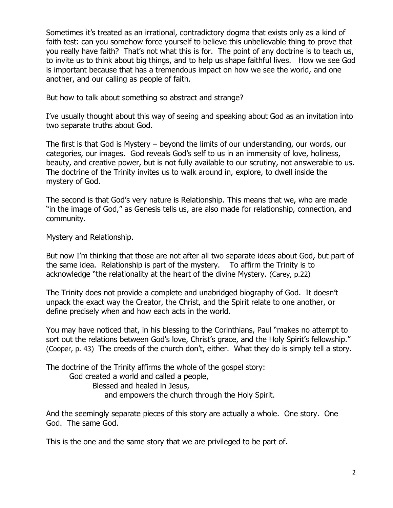Sometimes it's treated as an irrational, contradictory dogma that exists only as a kind of faith test: can you somehow force yourself to believe this unbelievable thing to prove that you really have faith? That's not what this is for. The point of any doctrine is to teach us, to invite us to think about big things, and to help us shape faithful lives. How we see God is important because that has a tremendous impact on how we see the world, and one another, and our calling as people of faith.

But how to talk about something so abstract and strange?

I've usually thought about this way of seeing and speaking about God as an invitation into two separate truths about God.

The first is that God is Mystery – beyond the limits of our understanding, our words, our categories, our images. God reveals God's self to us in an immensity of love, holiness, beauty, and creative power, but is not fully available to our scrutiny, not answerable to us. The doctrine of the Trinity invites us to walk around in, explore, to dwell inside the mystery of God.

The second is that God's very nature is Relationship. This means that we, who are made "in the image of God," as Genesis tells us, are also made for relationship, connection, and community.

Mystery and Relationship.

But now I'm thinking that those are not after all two separate ideas about God, but part of the same idea. Relationship is part of the mystery. To affirm the Trinity is to acknowledge "the relationality at the heart of the divine Mystery. (Carey, p.22)

The Trinity does not provide a complete and unabridged biography of God. It doesn't unpack the exact way the Creator, the Christ, and the Spirit relate to one another, or define precisely when and how each acts in the world.

You may have noticed that, in his blessing to the Corinthians, Paul "makes no attempt to sort out the relations between God's love, Christ's grace, and the Holy Spirit's fellowship." (Cooper, p. 43) The creeds of the church don't, either. What they do is simply tell a story.

The doctrine of the Trinity affirms the whole of the gospel story:

God created a world and called a people,

Blessed and healed in Jesus,

and empowers the church through the Holy Spirit.

And the seemingly separate pieces of this story are actually a whole. One story. One God. The same God.

This is the one and the same story that we are privileged to be part of.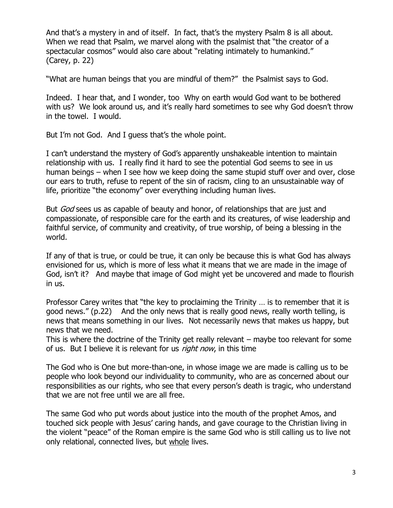And that's a mystery in and of itself. In fact, that's the mystery Psalm 8 is all about. When we read that Psalm, we marvel along with the psalmist that "the creator of a spectacular cosmos" would also care about "relating intimately to humankind." (Carey, p. 22)

"What are human beings that you are mindful of them?" the Psalmist says to God.

Indeed. I hear that, and I wonder, too Why on earth would God want to be bothered with us? We look around us, and it's really hard sometimes to see why God doesn't throw in the towel. I would.

But I'm not God. And I guess that's the whole point.

I can't understand the mystery of God's apparently unshakeable intention to maintain relationship with us. I really find it hard to see the potential God seems to see in us human beings – when I see how we keep doing the same stupid stuff over and over, close our ears to truth, refuse to repent of the sin of racism, cling to an unsustainable way of life, prioritize "the economy" over everything including human lives.

But *God* sees us as capable of beauty and honor, of relationships that are just and compassionate, of responsible care for the earth and its creatures, of wise leadership and faithful service, of community and creativity, of true worship, of being a blessing in the world.

If any of that is true, or could be true, it can only be because this is what God has always envisioned for us, which is more of less what it means that we are made in the image of God, isn't it? And maybe that image of God might yet be uncovered and made to flourish in us.

Professor Carey writes that "the key to proclaiming the Trinity … is to remember that it is good news." (p.22) And the only news that is really good news, really worth telling, is news that means something in our lives. Not necessarily news that makes us happy, but news that we need.

This is where the doctrine of the Trinity get really relevant – maybe too relevant for some of us. But I believe it is relevant for us *right now*, in this time

The God who is One but more-than-one, in whose image we are made is calling us to be people who look beyond our individuality to community, who are as concerned about our responsibilities as our rights, who see that every person's death is tragic, who understand that we are not free until we are all free.

The same God who put words about justice into the mouth of the prophet Amos, and touched sick people with Jesus' caring hands, and gave courage to the Christian living in the violent "peace" of the Roman empire is the same God who is still calling us to live not only relational, connected lives, but whole lives.